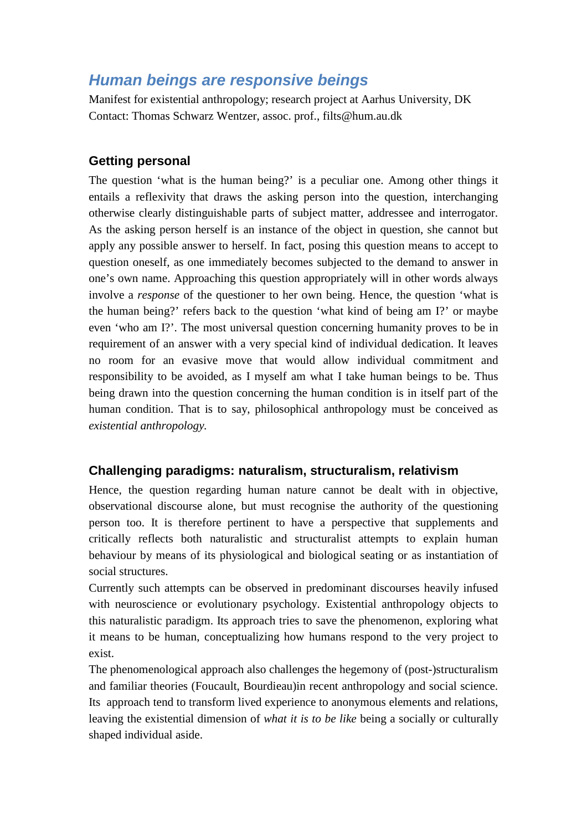# *Human beings are responsive beings*

Manifest for existential anthropology; research project at Aarhus University, DK Contact: Thomas Schwarz Wentzer, assoc. prof., filts@hum.au.dk

## **Getting personal**

The question 'what is the human being?' is a peculiar one. Among other things it entails a reflexivity that draws the asking person into the question, interchanging otherwise clearly distinguishable parts of subject matter, addressee and interrogator. As the asking person herself is an instance of the object in question, she cannot but apply any possible answer to herself. In fact, posing this question means to accept to question oneself, as one immediately becomes subjected to the demand to answer in one's own name. Approaching this question appropriately will in other words always involve a *response* of the questioner to her own being. Hence, the question 'what is the human being?' refers back to the question 'what kind of being am I?' or maybe even 'who am I?'. The most universal question concerning humanity proves to be in requirement of an answer with a very special kind of individual dedication. It leaves no room for an evasive move that would allow individual commitment and responsibility to be avoided, as I myself am what I take human beings to be. Thus being drawn into the question concerning the human condition is in itself part of the human condition. That is to say, philosophical anthropology must be conceived as *existential anthropology.*

## **Challenging paradigms: naturalism, structuralism, relativism**

Hence, the question regarding human nature cannot be dealt with in objective, observational discourse alone, but must recognise the authority of the questioning person too. It is therefore pertinent to have a perspective that supplements and critically reflects both naturalistic and structuralist attempts to explain human behaviour by means of its physiological and biological seating or as instantiation of social structures.

Currently such attempts can be observed in predominant discourses heavily infused with neuroscience or evolutionary psychology. Existential anthropology objects to this naturalistic paradigm. Its approach tries to save the phenomenon, exploring what it means to be human, conceptualizing how humans respond to the very project to exist.

The phenomenological approach also challenges the hegemony of (post-)structuralism and familiar theories (Foucault, Bourdieau)in recent anthropology and social science. Its approach tend to transform lived experience to anonymous elements and relations, leaving the existential dimension of *what it is to be like* being a socially or culturally shaped individual aside.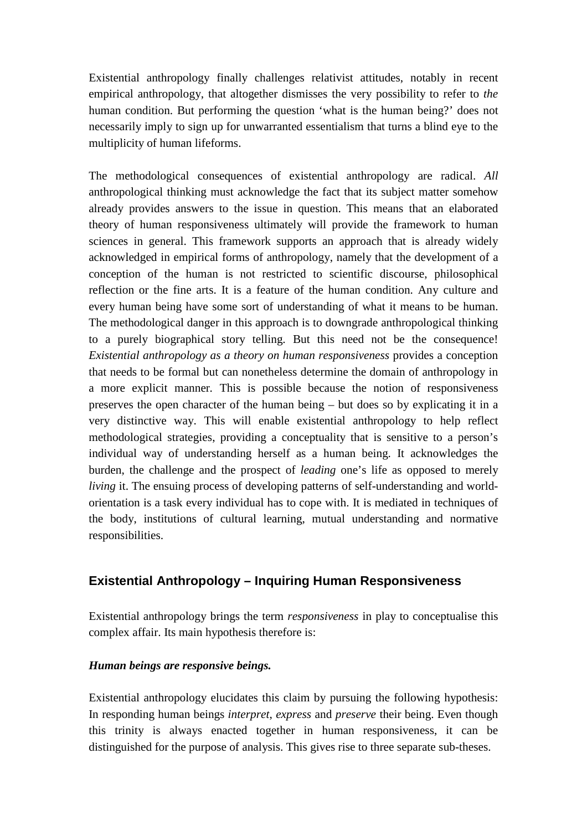Existential anthropology finally challenges relativist attitudes, notably in recent empirical anthropology, that altogether dismisses the very possibility to refer to *the* human condition. But performing the question 'what is the human being?' does not necessarily imply to sign up for unwarranted essentialism that turns a blind eye to the multiplicity of human lifeforms.

The methodological consequences of existential anthropology are radical. *All*  anthropological thinking must acknowledge the fact that its subject matter somehow already provides answers to the issue in question. This means that an elaborated theory of human responsiveness ultimately will provide the framework to human sciences in general. This framework supports an approach that is already widely acknowledged in empirical forms of anthropology, namely that the development of a conception of the human is not restricted to scientific discourse, philosophical reflection or the fine arts. It is a feature of the human condition. Any culture and every human being have some sort of understanding of what it means to be human. The methodological danger in this approach is to downgrade anthropological thinking to a purely biographical story telling. But this need not be the consequence! *Existential anthropology as a theory on human responsiveness* provides a conception that needs to be formal but can nonetheless determine the domain of anthropology in a more explicit manner*.* This is possible because the notion of responsiveness preserves the open character of the human being – but does so by explicating it in a very distinctive way. This will enable existential anthropology to help reflect methodological strategies, providing a conceptuality that is sensitive to a person's individual way of understanding herself as a human being. It acknowledges the burden, the challenge and the prospect of *leading* one's life as opposed to merely *living* it. The ensuing process of developing patterns of self-understanding and worldorientation is a task every individual has to cope with. It is mediated in techniques of the body, institutions of cultural learning, mutual understanding and normative responsibilities.

# **Existential Anthropology – Inquiring Human Responsiveness**

Existential anthropology brings the term *responsiveness* in play to conceptualise this complex affair. Its main hypothesis therefore is:

## *Human beings are responsive beings.*

Existential anthropology elucidates this claim by pursuing the following hypothesis: In responding human beings *interpret*, *express* and *preserve* their being. Even though this trinity is always enacted together in human responsiveness, it can be distinguished for the purpose of analysis. This gives rise to three separate sub-theses.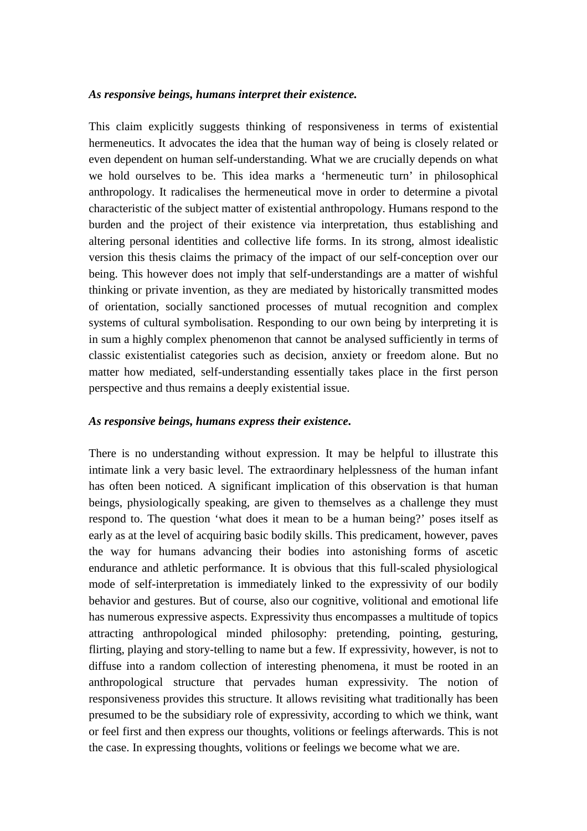#### *As responsive beings, humans interpret their existence.*

This claim explicitly suggests thinking of responsiveness in terms of existential hermeneutics. It advocates the idea that the human way of being is closely related or even dependent on human self-understanding. What we are crucially depends on what we hold ourselves to be. This idea marks a 'hermeneutic turn' in philosophical anthropology. It radicalises the hermeneutical move in order to determine a pivotal characteristic of the subject matter of existential anthropology. Humans respond to the burden and the project of their existence via interpretation, thus establishing and altering personal identities and collective life forms. In its strong, almost idealistic version this thesis claims the primacy of the impact of our self-conception over our being. This however does not imply that self-understandings are a matter of wishful thinking or private invention, as they are mediated by historically transmitted modes of orientation, socially sanctioned processes of mutual recognition and complex systems of cultural symbolisation. Responding to our own being by interpreting it is in sum a highly complex phenomenon that cannot be analysed sufficiently in terms of classic existentialist categories such as decision, anxiety or freedom alone. But no matter how mediated, self-understanding essentially takes place in the first person perspective and thus remains a deeply existential issue.

#### *As responsive beings, humans express their existence***.**

There is no understanding without expression. It may be helpful to illustrate this intimate link a very basic level. The extraordinary helplessness of the human infant has often been noticed. A significant implication of this observation is that human beings, physiologically speaking, are given to themselves as a challenge they must respond to. The question 'what does it mean to be a human being?' poses itself as early as at the level of acquiring basic bodily skills. This predicament, however, paves the way for humans advancing their bodies into astonishing forms of ascetic endurance and athletic performance. It is obvious that this full-scaled physiological mode of self-interpretation is immediately linked to the expressivity of our bodily behavior and gestures. But of course, also our cognitive, volitional and emotional life has numerous expressive aspects. Expressivity thus encompasses a multitude of topics attracting anthropological minded philosophy: pretending, pointing, gesturing, flirting, playing and story-telling to name but a few. If expressivity, however, is not to diffuse into a random collection of interesting phenomena, it must be rooted in an anthropological structure that pervades human expressivity. The notion of responsiveness provides this structure. It allows revisiting what traditionally has been presumed to be the subsidiary role of expressivity, according to which we think, want or feel first and then express our thoughts, volitions or feelings afterwards. This is not the case. In expressing thoughts, volitions or feelings we become what we are.